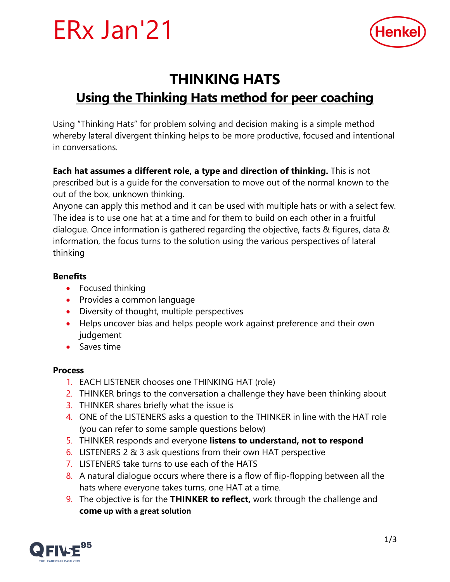



## **THINKING HATS**

### **Using the Thinking Hats method for peer coaching**

Using "Thinking Hats" for problem solving and decision making is a simple method whereby lateral divergent thinking helps to be more productive, focused and intentional in conversations.

**Each hat assumes a different role, a type and direction of thinking.** This is not prescribed but is a guide for the conversation to move out of the normal known to the out of the box, unknown thinking.

Anyone can apply this method and it can be used with multiple hats or with a select few. The idea is to use one hat at a time and for them to build on each other in a fruitful dialogue. Once information is gathered regarding the objective, facts & figures, data & information, the focus turns to the solution using the various perspectives of lateral thinking

#### **Benefits**

- Focused thinking
- Provides a common language
- Diversity of thought, multiple perspectives
- Helps uncover bias and helps people work against preference and their own judgement
- Saves time

#### **Process**

- 1. EACH LISTENER chooses one THINKING HAT (role)
- 2. THINKER brings to the conversation a challenge they have been thinking about
- 3. THINKER shares briefly what the issue is
- 4. ONE of the LISTENERS asks a question to the THINKER in line with the HAT role (you can refer to some sample questions below)
- 5. THINKER responds and everyone **listens to understand, not to respond**
- 6. LISTENERS 2 & 3 ask questions from their own HAT perspective
- 7. LISTENERS take turns to use each of the HATS
- 8. A natural dialogue occurs where there is a flow of flip-flopping between all the hats where everyone takes turns, one HAT at a time.
- 9. The objective is for the **THINKER to reflect,** work through the challenge and **come up with a great solution**

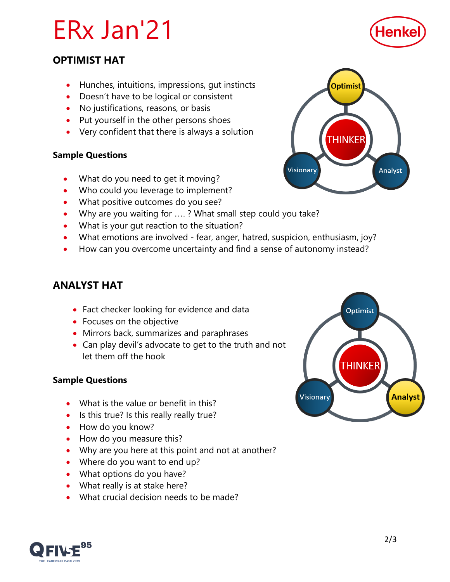# ERx Jan'21

# Henke

#### **OPTIMIST HAT**

- Hunches, intuitions, impressions, gut instincts
- Doesn't have to be logical or consistent
- No justifications, reasons, or basis
- Put yourself in the other persons shoes
- Very confident that there is always a solution

#### **Sample Questions**

- What do you need to get it moving?
- Who could you leverage to implement?
- What positive outcomes do you see?
- Why are you waiting for ....? What small step could you take?
- What is your gut reaction to the situation?
- What emotions are involved fear, anger, hatred, suspicion, enthusiasm, joy?
- How can you overcome uncertainty and find a sense of autonomy instead?

#### **ANALYST HAT**

- Fact checker looking for evidence and data
- Focuses on the objective
- Mirrors back, summarizes and paraphrases
- Can play devil's advocate to get to the truth and not let them off the hook

#### **Sample Questions**

- What is the value or benefit in this?
- Is this true? Is this really really true?
- How do you know?
- How do you measure this?
- Why are you here at this point and not at another?
- Where do you want to end up?
- What options do you have?
- What really is at stake here?
- What crucial decision needs to be made?